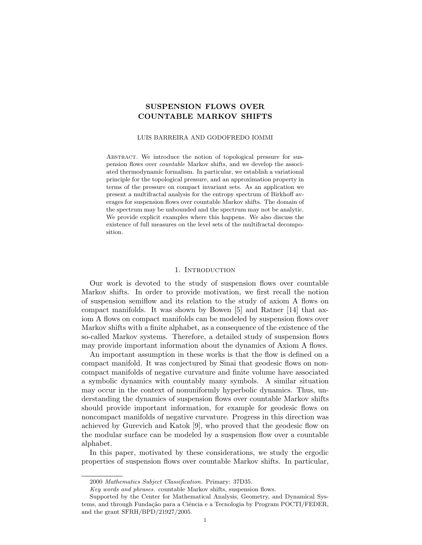# SUSPENSION FLOWS OVER COUNTABLE MARKOV SHIFTS

#### LUIS BARREIRA AND GODOFREDO IOMMI

ABSTRACT. We introduce the notion of topological pressure for suspension flows over *countable* Markov shifts, and we develop the associated thermodynamic formalism. In particular, we establish a variational principle for the topological pressure, and an approximation property in terms of the pressure on compact invariant sets. As an application we present a multifractal analysis for the entropy spectrum of Birkhoff averages for suspension flows over countable Markov shifts. The domain of the spectrum may be unbounded and the spectrum may not be analytic. We provide explicit examples where this happens. We also discuss the existence of full measures on the level sets of the multifractal decomposition.

## 1. INTRODUCTION

Our work is devoted to the study of suspension flows over countable Markov shifts. In order to provide motivation, we first recall the notion of suspension semiflow and its relation to the study of axiom A flows on compact manifolds. It was shown by Bowen [5] and Ratner [14] that axiom A flows on compact manifolds can be modeled by suspension flows over Markov shifts with a finite alphabet, as a consequence of the existence of the so-called Markov systems. Therefore, a detailed study of suspension flows may provide important information about the dynamics of Axiom A flows.

An important assumption in these works is that the flow is defined on a compact manifold. It was conjectured by Sinai that geodesic flows on noncompact manifolds of negative curvature and finite volume have associated a symbolic dynamics with countably many symbols. A similar situation may occur in the context of nonuniformly hyperbolic dynamics. Thus, understanding the dynamics of suspension flows over countable Markov shifts should provide important information, for example for geodesic flows on noncompact manifolds of negative curvature. Progress in this direction was achieved by Gurevich and Katok [9], who proved that the geodesic flow on the modular surface can be modeled by a suspension flow over a countable alphabet.

In this paper, motivated by these considerations, we study the ergodic properties of suspension flows over countable Markov shifts. In particular,

<sup>2000</sup> *Mathematics Subject Classification.* Primary: 37D35.

*Key words and phrases.* countable Markov shifts, suspension flows.

Supported by the Center for Mathematical Analysis, Geometry, and Dynamical Systems, and through Fundação para a Ciência e a Tecnologia by Program POCTI/FEDER, and the grant SFRH/BPD/21927/2005.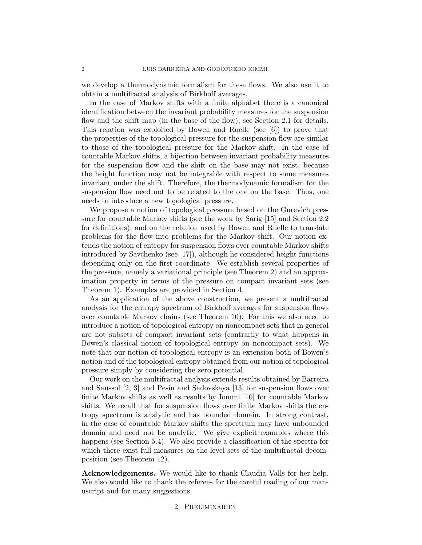we develop a thermodynamic formalism for these flows. We also use it to obtain a multifractal analysis of Birkhoff averages.

In the case of Markov shifts with a finite alphabet there is a canonical identification between the invariant probability measures for the suspension flow and the shift map (in the base of the flow); see Section 2.1 for details. This relation was exploited by Bowen and Ruelle (see [6]) to prove that the properties of the topological pressure for the suspension flow are similar to those of the topological pressure for the Markov shift. In the case of countable Markov shifts, a bijection between invariant probability measures for the suspension flow and the shift on the base may not exist, because the height function may not be integrable with respect to some measures invariant under the shift. Therefore, the thermodynamic formalism for the suspension flow need not to be related to the one on the base. Thus, one needs to introduce a new topological pressure.

We propose a notion of topological pressure based on the Gurevich pressure for countable Markov shifts (see the work by Sarig [15] and Section 2.2 for definitions), and on the relation used by Bowen and Ruelle to translate problems for the flow into problems for the Markov shift. Our notion extends the notion of entropy for suspension flows over countable Markov shifts introduced by Savchenko (see [17]), although he considered height functions depending only on the first coordinate. We establish several properties of the pressure, namely a variational principle (see Theorem 2) and an approximation property in terms of the pressure on compact invariant sets (see Theorem 1). Examples are provided in Section 4.

As an application of the above construction, we present a multifractal analysis for the entropy spectrum of Birkhoff averages for suspension flows over countable Markov chains (see Theorem 10). For this we also need to introduce a notion of topological entropy on noncompact sets that in general are not subsets of compact invariant sets (contrarily to what happens in Bowen's classical notion of topological entropy on noncompact sets). We note that our notion of topological entropy is an extension both of Bowen's notion and of the topological entropy obtained from our notion of topological pressure simply by considering the zero potential.

Our work on the multifractal analysis extends results obtained by Barreira and Saussol [2, 3] and Pesin and Sadovskaya [13] for suspension flows over finite Markov shifts as well as results by Iommi [10] for countable Markov shifts. We recall that for suspension flows over finite Markov shifts the entropy spectrum is analytic and has bounded domain. In strong contrast, in the case of countable Markov shifts the spectrum may have unbounded domain and need not be analytic. We give explicit examples where this happens (see Section 5.4). We also provide a classification of the spectra for which there exist full measures on the level sets of the multifractal decomposition (see Theorem 12).

Acknowledgements. We would like to thank Claudia Valls for her help. We also would like to thank the referees for the careful reading of our manuscript and for many suggestions.

# 2. Preliminaries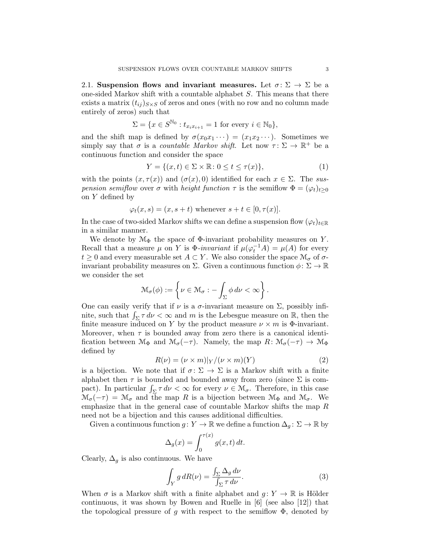2.1. Suspension flows and invariant measures. Let  $\sigma \colon \Sigma \to \Sigma$  be a one-sided Markov shift with a countable alphabet *S*. This means that there exists a matrix  $(t_{ij})_{S\times S}$  of zeros and ones (with no row and no column made entirely of zeros) such that

$$
\Sigma = \{ x \in S^{\mathbb{N}_0} : t_{x_i x_{i+1}} = 1 \text{ for every } i \in \mathbb{N}_0 \},
$$

and the shift map is defined by  $\sigma(x_0x_1 \cdots) = (x_1x_2 \cdots)$ . Sometimes we simply say that  $\sigma$  is a *countable Markov shift*. Let now  $\tau \colon \Sigma \to \mathbb{R}^+$  be a continuous function and consider the space

$$
Y = \{(x, t) \in \Sigma \times \mathbb{R} : 0 \le t \le \tau(x)\},\tag{1}
$$

with the points  $(x, \tau(x))$  and  $(\sigma(x), 0)$  identified for each  $x \in \Sigma$ . The *suspension semiflow* over  $\sigma$  with *height function*  $\tau$  is the semiflow  $\Phi = (\varphi_t)_{t>0}$ on *Y* defined by

$$
\varphi_t(x, s) = (x, s + t) \text{ whenever } s + t \in [0, \tau(x)].
$$

In the case of two-sided Markov shifts we can define a suspension flow  $(\varphi_t)_{t\in\mathbb{R}}$ in a similar manner.

We denote by  $\mathcal{M}_{\Phi}$  the space of  $\Phi$ -invariant probability measures on *Y*. Recall that a measure  $\mu$  on *Y* is  $\Phi$ -invariant if  $\mu(\varphi_t^{-1}A) = \mu(A)$  for every  $t \geq 0$  and every measurable set  $A \subset Y$ . We also consider the space  $\mathcal{M}_{\sigma}$  of  $\sigma$ invariant probability measures on  $\Sigma$ . Given a continuous function  $\phi: \Sigma \to \mathbb{R}$ we consider the set

$$
\mathcal{M}_{\sigma}(\phi) := \left\{ \nu \in \mathcal{M}_{\sigma} : -\int_{\Sigma} \phi \, d\nu < \infty \right\}.
$$

One can easily verify that if  $\nu$  is a  $\sigma$ -invariant measure on  $\Sigma$ , possibly infinite, such that  $\int_{\Sigma} \tau \, d\nu < \infty$  and *m* is the Lebesgue measure on R, then the finite measure induced on *Y* by the product measure  $\nu \times m$  is  $\Phi$ -invariant. Moreover, when  $\tau$  is bounded away from zero there is a canonical identification between  $\mathcal{M}_{\Phi}$  and  $\mathcal{M}_{\sigma}(-\tau)$ . Namely, the map  $R: \mathcal{M}_{\sigma}(-\tau) \to \mathcal{M}_{\Phi}$ defined by

$$
R(\nu) = (\nu \times m)|_Y / (\nu \times m)(Y) \tag{2}
$$

is a bijection. We note that if  $\sigma \colon \Sigma \to \Sigma$  is a Markov shift with a finite alphabet then  $\tau$  is bounded and bounded away from zero (since  $\Sigma$  is compact). In particular  $\int_{\Sigma} \tau \, d\nu < \infty$  for every  $\nu \in \mathcal{M}_{\sigma}$ . Therefore, in this case  $\mathcal{M}_{\sigma}(-\tau) = \mathcal{M}_{\sigma}$  and the map R is a bijection between  $\mathcal{M}_{\Phi}$  and  $\mathcal{M}_{\sigma}$ . We emphasize that in the general case of countable Markov shifts the map *R* need not be a bijection and this causes additional difficulties.

Given a continuous function  $g: Y \to \mathbb{R}$  we define a function  $\Delta_q: \Sigma \to \mathbb{R}$  by

$$
\Delta_g(x) = \int_0^{\tau(x)} g(x, t) dt.
$$

Clearly,  $\Delta_q$  is also continuous. We have

$$
\int_{Y} g \, dR(\nu) = \frac{\int_{\Sigma} \Delta_g \, d\nu}{\int_{\Sigma} \tau \, d\nu}.
$$
\n(3)

When  $\sigma$  is a Markov shift with a finite alphabet and  $q: Y \to \mathbb{R}$  is Hölder continuous, it was shown by Bowen and Ruelle in [6] (see also [12]) that the topological pressure of *g* with respect to the semiflow  $\Phi$ , denoted by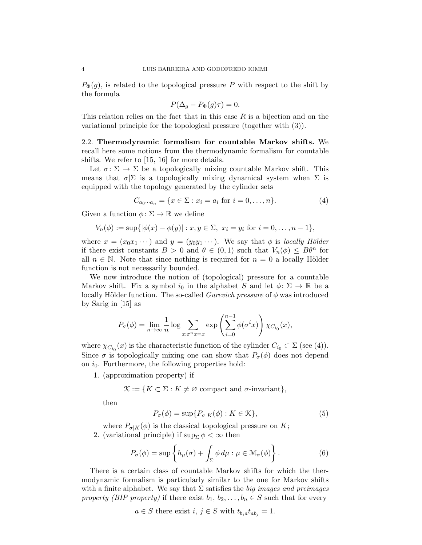$P_{\Phi}(q)$ , is related to the topological pressure *P* with respect to the shift by the formula

$$
P(\Delta_g - P_{\Phi}(g)\tau) = 0.
$$

This relation relies on the fact that in this case *R* is a bijection and on the variational principle for the topological pressure (together with (3)).

2.2. Thermodynamic formalism for countable Markov shifts. We recall here some notions from the thermodynamic formalism for countable shifts. We refer to [15, 16] for more details.

Let  $\sigma \colon \Sigma \to \Sigma$  be a topologically mixing countable Markov shift. This means that  $\sigma|\Sigma$  is a topologically mixing dynamical system when  $\Sigma$  is equipped with the topology generated by the cylinder sets

$$
C_{a_0 \cdots a_n} = \{ x \in \Sigma : x_i = a_i \text{ for } i = 0, \ldots, n \}. \tag{4}
$$

Given a function  $\phi \colon \Sigma \to \mathbb{R}$  we define

$$
V_n(\phi) := \sup\{|\phi(x) - \phi(y)| : x, y \in \Sigma, x_i = y_i \text{ for } i = 0, ..., n-1\},\
$$

where  $x = (x_0x_1 \cdots)$  and  $y = (y_0y_1 \cdots)$ . We say that  $\phi$  is *locally Hölder* if there exist constants  $B > 0$  and  $\theta \in (0,1)$  such that  $V_n(\phi) \leq B\theta^n$  for all  $n \in \mathbb{N}$ . Note that since nothing is required for  $n = 0$  a locally Hölder function is not necessarily bounded.

We now introduce the notion of (topological) pressure for a countable Markov shift. Fix a symbol  $i_0$  in the alphabet *S* and let  $\phi \colon \Sigma \to \mathbb{R}$  be a locally Hölder function. The so-called *Gurevich pressure* of  $\phi$  was introduced by Sarig in [15] as

$$
P_{\sigma}(\phi) = \lim_{n \to \infty} \frac{1}{n} \log \sum_{x:\sigma^n x = x} \exp \left( \sum_{i=0}^{n-1} \phi(\sigma^i x) \right) \chi_{C_{i_0}}(x),
$$

where  $\chi_{C_{i_0}}(x)$  is the characteristic function of the cylinder  $C_{i_0} \subset \Sigma$  (see (4)). Since  $\sigma$  is topologically mixing one can show that  $P_{\sigma}(\phi)$  does not depend on  $i_0$ . Furthermore, the following properties hold:

1. (approximation property) if

 $\mathcal{K} := \{ K \subset \Sigma : K \neq \emptyset \text{ compact and } \sigma\text{-invariant} \},\$ 

then

$$
P_{\sigma}(\phi) = \sup \{ P_{\sigma|K}(\phi) : K \in \mathcal{K} \},\tag{5}
$$

where  $P_{\sigma|K}(\phi)$  is the classical topological pressure on *K*;

2. (variational principle) if  $\sup_{\Sigma} \phi < \infty$  then

$$
P_{\sigma}(\phi) = \sup \left\{ h_{\mu}(\sigma) + \int_{\Sigma} \phi \, d\mu : \mu \in \mathcal{M}_{\sigma}(\phi) \right\}.
$$
 (6)

There is a certain class of countable Markov shifts for which the thermodynamic formalism is particularly similar to the one for Markov shifts with a finite alphabet. We say that  $\Sigma$  satisfies the *big images and preimages property (BIP property)* if there exist  $b_1, b_2, \ldots, b_n \in S$  such that for every

$$
a \in S
$$
 there exist  $i, j \in S$  with  $t_{b_i} a t_{ab_j} = 1$ .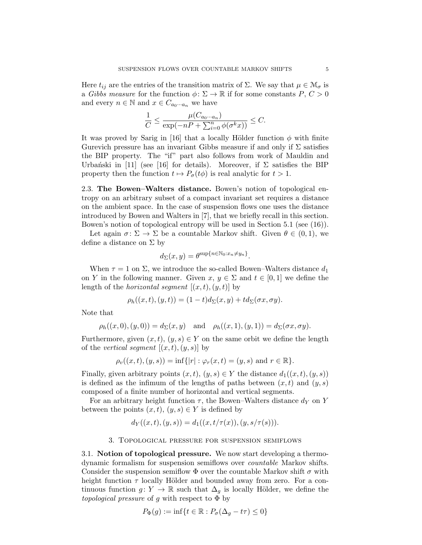Here  $t_{ij}$  are the entries of the transition matrix of  $\Sigma$ . We say that  $\mu \in \mathcal{M}_{\sigma}$  is a *Gibbs measure* for the function  $\phi \colon \Sigma \to \mathbb{R}$  if for some constants  $P, C > 0$ and every  $n \in \mathbb{N}$  and  $x \in C_{a_0 \cdots a_n}$  we have

$$
\frac{1}{C} \le \frac{\mu(C_{a_0 \cdots a_n})}{\exp(-nP + \sum_{i=0}^n \phi(\sigma^k x))} \le C.
$$

It was proved by Sarig in [16] that a locally Hölder function  $\phi$  with finite Gurevich pressure has an invariant Gibbs measure if and only if  $\Sigma$  satisfies the BIP property. The "if" part also follows from work of Mauldin and Urbanski in [11] (see [16] for details). Moreover, if  $\Sigma$  satisfies the BIP property then the function  $t \mapsto P_{\sigma}(t\phi)$  is real analytic for  $t > 1$ .

2.3. The Bowen–Walters distance. Bowen's notion of topological entropy on an arbitrary subset of a compact invariant set requires a distance on the ambient space. In the case of suspension flows one uses the distance introduced by Bowen and Walters in [7], that we briefly recall in this section. Bowen's notion of topological entropy will be used in Section 5.1 (see (16)).

Let again  $\sigma \colon \Sigma \to \Sigma$  be a countable Markov shift. Given  $\theta \in (0,1)$ , we define a distance on  $\Sigma$  by

$$
d_{\Sigma}(x,y) = \theta^{\sup\{n \in \mathbb{N}_0 : x_n \neq y_n\}}.
$$

When  $\tau = 1$  on  $\Sigma$ , we introduce the so-called Bowen–Walters distance  $d_1$ on *Y* in the following manner. Given  $x, y \in \Sigma$  and  $t \in [0, 1]$  we define the length of the *horizontal segment*  $[(x, t), (y, t)]$  by

$$
\rho_h((x,t),(y,t))=(1-t)d_{\Sigma}(x,y)+td_{\Sigma}(\sigma x,\sigma y).
$$

Note that

$$
\rho_h((x,0),(y,0)) = d_{\Sigma}(x,y)
$$
 and  $\rho_h((x,1),(y,1)) = d_{\Sigma}(\sigma x, \sigma y).$ 

Furthermore, given  $(x, t)$ ,  $(y, s) \in Y$  on the same orbit we define the length of the *vertical segment*  $[(x, t), (y, s)]$  by

$$
\rho_v((x,t),(y,s)) = \inf\{|r| : \varphi_r(x,t) = (y,s) \text{ and } r \in \mathbb{R}\}\
$$

Finally, given arbitrary points  $(x, t)$ ,  $(y, s) \in Y$  the distance  $d_1((x, t), (y, s))$ is defined as the infimum of the lengths of paths between  $(x, t)$  and  $(y, s)$ composed of a finite number of horizontal and vertical segments.

For an arbitrary height function  $\tau$ , the Bowen–Walters distance  $d_Y$  on *Y* between the points  $(x, t)$ ,  $(y, s) \in Y$  is defined by

$$
d_Y((x,t),(y,s)) = d_1((x,t/\tau(x)),(y,s/\tau(s))).
$$

## 3. Topological pressure for suspension semiflows

3.1. Notion of topological pressure. We now start developing a thermodynamic formalism for suspension semiflows over *countable* Markov shifts. Consider the suspension semiflow  $\Phi$  over the countable Markov shift  $\sigma$  with height function  $\tau$  locally Hölder and bounded away from zero. For a continuous function  $g: Y \to \mathbb{R}$  such that  $\Delta_q$  is locally Hölder, we define the *topological pressure* of *g* with respect to Φ by

$$
P_{\Phi}(g) := \inf\{t \in \mathbb{R} : P_{\sigma}(\Delta_g - t\tau) \le 0\}
$$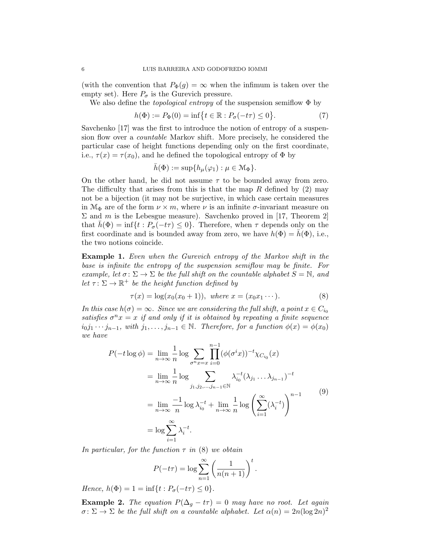(with the convention that  $P_{\Phi}(g) = \infty$  when the infimum is taken over the empty set). Here  $P_{\sigma}$  is the Gurevich pressure.

We also define the *topological entropy* of the suspension semiflow Φ by

$$
h(\Phi) := P_{\Phi}(0) = \inf \{ t \in \mathbb{R} : P_{\sigma}(-t\tau) \le 0 \}.
$$
 (7)

Savchenko [17] was the first to introduce the notion of entropy of a suspension flow over a *countable* Markov shift. More precisely, he considered the particular case of height functions depending only on the first coordinate, i.e.,  $\tau(x) = \tau(x_0)$ , and he defined the topological entropy of  $\Phi$  by

$$
\bar{h}(\Phi) := \sup \{ h_{\mu}(\varphi_1) : \mu \in \mathcal{M}_{\Phi} \}.
$$

On the other hand, he did not assume  $\tau$  to be bounded away from zero. The difficulty that arises from this is that the map *R* defined by (2) may not be a bijection (it may not be surjective, in which case certain measures in  $\mathcal{M}_{\Phi}$  are of the form  $\nu \times m$ , where  $\nu$  is an infinite  $\sigma$ -invariant measure on  $\Sigma$  and *m* is the Lebesgue measure). Savchenko proved in [17, Theorem 2] that  $h(\Phi) = \inf\{t : P_{\sigma}(-t\tau) \leq 0\}$ . Therefore, when  $\tau$  depends only on the first coordinate and is bounded away from zero, we have  $h(\Phi) = h(\Phi)$ , i.e., the two notions coincide.

Example 1. *Even when the Gurevich entropy of the Markov shift in the base is infinite the entropy of the suspension semiflow may be finite. For example, let*  $\sigma: \Sigma \to \Sigma$  *be the full shift on the countable alphabet*  $S = \mathbb{N}$ *, and let*  $\tau: \Sigma \to \mathbb{R}^+$  *be the height function defined by* 

$$
\tau(x) = \log(x_0(x_0 + 1)), \text{ where } x = (x_0 x_1 \cdots). \tag{8}
$$

*In this case*  $h(\sigma) = \infty$ *. Since we are considering the full shift, a point*  $x \in C_{i_0}$ *satisfies*  $\sigma^n x = x$  *if and only if it is obtained by repeating a finite sequence*  $i_0j_1 \cdots j_{n-1}$ , with  $j_1, \ldots, j_{n-1} \in \mathbb{N}$ . Therefore, for a function  $\phi(x) = \phi(x_0)$ *we have*

$$
P(-t \log \phi) = \lim_{n \to \infty} \frac{1}{n} \log \sum_{\sigma^n x = x} \prod_{i=0}^{n-1} (\phi(\sigma^i x))^{-t} \chi_{C_{i_0}}(x)
$$
  
\n
$$
= \lim_{n \to \infty} \frac{1}{n} \log \sum_{j_1, j_2, \dots, j_{n-1} \in \mathbb{N}} \lambda_{i_0}^{-t} (\lambda_{j_1} \dots \lambda_{j_{n-1}})^{-t}
$$
  
\n
$$
= \lim_{n \to \infty} \frac{-1}{n} \log \lambda_{i_0}^{-t} + \lim_{n \to \infty} \frac{1}{n} \log \left( \sum_{i=1}^{\infty} (\lambda_i^{-t}) \right)^{n-1}
$$
  
\n
$$
= \log \sum_{i=1}^{\infty} \lambda_i^{-t}.
$$
  
\n(9)

*In particular, for the function*  $\tau$  *in* (8) *we obtain* 

$$
P(-t\tau) = \log \sum_{n=1}^{\infty} \left( \frac{1}{n(n+1)} \right)^t.
$$

*Hence,*  $h(\Phi) = 1 = \inf\{t : P_{\sigma}(-t\tau) \leq 0\}.$ 

**Example 2.** *The equation*  $P(\Delta_q - t\tau) = 0$  *may have no root. Let again*  $\sigma: \Sigma \to \Sigma$  *be the full shift on a countable alphabet. Let*  $\alpha(n) = 2n(\log 2n)^2$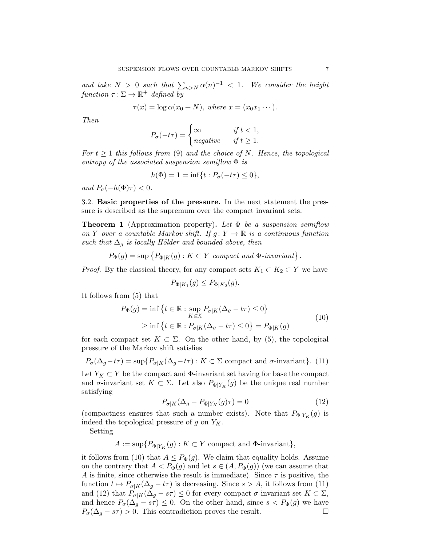*and take*  $N > 0$  *such that*  $\sum_{n>N} \alpha(n)^{-1} < 1$ . We consider the height *function*  $\tau : \Sigma \to \mathbb{R}^+$  *defined by* 

$$
\tau(x) = \log \alpha(x_0 + N), \text{ where } x = (x_0 x_1 \cdots).
$$

*Then*

$$
P_{\sigma}(-t\tau) = \begin{cases} \infty & \text{if } t < 1, \\ negative & \text{if } t \ge 1. \end{cases}
$$

 $For t \geq 1$  *this follows from* (9) *and the choice of N. Hence, the topological entropy of the associated suspension semiflow* Φ *is*

$$
h(\Phi) = 1 = \inf\{t : P_{\sigma}(-t\tau) \le 0\},\,
$$

*and*  $P_{\sigma}(-h(\Phi)\tau) < 0$ *.* 

3.2. Basic properties of the pressure. In the next statement the pressure is described as the supremum over the compact invariant sets.

Theorem 1 (Approximation property). *Let* Φ *be a suspension semiflow on Y over a countable Markov shift.* If  $g: Y \to \mathbb{R}$  *is a continuous function such that*  $\Delta_q$  *is locally Hölder and bounded above, then* 

$$
P_{\Phi}(g) = \sup \{ P_{\Phi|K}(g) : K \subset Y \text{ compact and } \Phi\text{-invariant} \}.
$$

*Proof.* By the classical theory, for any compact sets  $K_1 \subset K_2 \subset Y$  we have

$$
P_{\Phi|K_1}(g) \le P_{\Phi|K_2}(g).
$$

It follows from (5) that

$$
P_{\Phi}(g) = \inf \left\{ t \in \mathbb{R} : \sup_{K \in \mathcal{K}} P_{\sigma|K}(\Delta_g - t\tau) \le 0 \right\}
$$
  
 
$$
\ge \inf \left\{ t \in \mathbb{R} : P_{\sigma|K}(\Delta_g - t\tau) \le 0 \right\} = P_{\Phi|K}(g)
$$
 (10)

for each compact set  $K \subset \Sigma$ . On the other hand, by (5), the topological pressure of the Markov shift satisfies

 $P_{\sigma}(\Delta_q - t\tau) = \sup \{ P_{\sigma|K}(\Delta_q - t\tau) : K \subset \Sigma \text{ compact and } \sigma\text{-invariant} \}.$  (11)

Let  $Y_K \subset Y$  be the compact and  $\Phi$ -invariant set having for base the compact and  $\sigma$ -invariant set  $K \subset \Sigma$ . Let also  $P_{\Phi|Y_K}(g)$  be the unique real number satisfying

$$
P_{\sigma|K}(\Delta_g - P_{\Phi|Y_K}(g)\tau) = 0\tag{12}
$$

(compactness ensures that such a number exists). Note that  $P_{\Phi|Y_K}(g)$  is indeed the topological pressure of *g* on *YK*.

Setting

 $A := \sup\{P_{\Phi|Y_K}(g) : K \subset Y \text{ compact and } \Phi\text{-invariant}\},\$ 

it follows from (10) that  $A \leq P_{\Phi}(g)$ . We claim that equality holds. Assume on the contrary that  $A < P_{\Phi}(g)$  and let  $s \in (A, P_{\Phi}(g))$  (we can assume that *A* is finite, since otherwise the result is immediate). Since  $\tau$  is positive, the function  $t \mapsto P_{\sigma|K}(\Delta_q - t\tau)$  is decreasing. Since  $s > A$ , it follows from (11) and (12) that  $P_{\sigma|K}(\Delta_g - s\tau) \leq 0$  for every compact  $\sigma$ -invariant set  $K \subset \Sigma$ , and hence  $P_{\sigma}(\Delta_g - s\tau) \leq 0$ . On the other hand, since  $s < P_{\Phi}(g)$  we have  $P_{\sigma}(\Delta_g - s\tau) > 0$ . This contradiction proves the result.  $P_{\sigma}(\Delta_q - s\tau) > 0$ . This contradiction proves the result.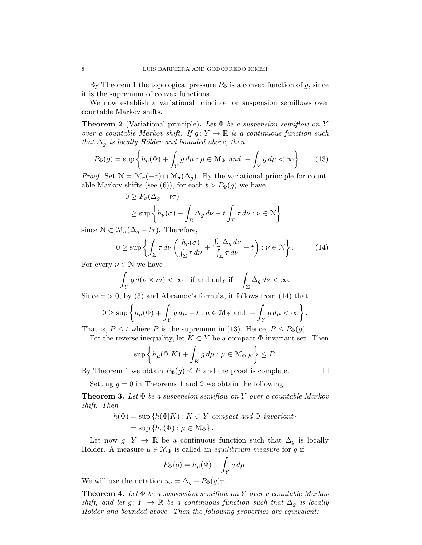By Theorem 1 the topological pressure  $P_{\Phi}$  is a convex function of *g*, since it is the supremum of convex functions.

We now establish a variational principle for suspension semiflows over countable Markov shifts.

Theorem 2 (Variational principle). *Let* Φ *be a suspension semiflow on Y over a countable Markov shift.* If  $g: Y \to \mathbb{R}$  is a continuous function such *that*  $\Delta_g$  *is locally Hölder and bounded above, then* 

$$
P_{\Phi}(g) = \sup \left\{ h_{\mu}(\Phi) + \int_{Y} g d\mu : \mu \in \mathcal{M}_{\Phi} \text{ and } -\int_{Y} g d\mu < \infty \right\}.
$$
 (13)

*Proof.* Set  $\mathcal{N} = \mathcal{M}_{\sigma}(-\tau) \cap \mathcal{M}_{\sigma}(\Delta_q)$ . By the variational principle for countable Markov shifts (see (6)), for each  $t > P_{\Phi}(g)$  we have

$$
0 \ge P_{\sigma}(\Delta_g - t\tau)
$$
  
\n
$$
\ge \sup \left\{ h_{\nu}(\sigma) + \int_{\Sigma} \Delta_g \, d\nu - t \int_{\Sigma} \tau \, d\nu : \nu \in \mathcal{N} \right\},
$$

since  $\mathcal{N} \subset \mathcal{M}_{\sigma}(\Delta_q - t\tau)$ . Therefore,

$$
0 \ge \sup \left\{ \int_{\Sigma} \tau \, d\nu \left( \frac{h_{\nu}(\sigma)}{\int_{\Sigma} \tau \, d\nu} + \frac{\int_{\Sigma} \Delta_g \, d\nu}{\int_{\Sigma} \tau \, d\nu} - t \right) : \nu \in \mathbb{N} \right\}.
$$
 (14)

For every  $\nu \in \mathcal{N}$  we have

$$
\int_Y g d(\nu \times m) < \infty \quad \text{if and only if} \quad \int_{\Sigma} \Delta_g d\nu < \infty.
$$

Since  $\tau > 0$ , by (3) and Abramov's formula, it follows from (14) that

$$
0 \geq \sup \left\{ h_{\mu}(\Phi) + \int_{Y} g d\mu - t : \mu \in \mathcal{M}_{\Phi} \text{ and } - \int_{Y} g d\mu < \infty \right\}.
$$

That is,  $P \le t$  where *P* is the supremum in (13). Hence,  $P \le P_{\Phi}(q)$ .

For the reverse inequality, let  $K \subset Y$  be a compact  $\Phi$ -invariant set. Then

$$
\sup \left\{ h_{\mu}(\Phi|K) + \int_{K} g \, d\mu : \mu \in \mathcal{M}_{\Phi|K} \right\} \le P.
$$

By Theorem 1 we obtain  $P_{\Phi}(g) \leq P$  and the proof is complete.  $\Box$ 

Setting  $q = 0$  in Theorems 1 and 2 we obtain the following.

Theorem 3. *Let* Φ *be a suspension semiflow on Y over a countable Markov shift. Then*

$$
h(\Phi) = \sup \{ h(\Phi|K) : K \subset Y \text{ compact and } \Phi\text{-invariant} \}
$$
  
= 
$$
\sup \{ h_{\mu}(\Phi) : \mu \in \mathcal{M}_{\Phi} \}.
$$

Let now  $g: Y \to \mathbb{R}$  be a continuous function such that  $\Delta_g$  is locally Hölder. A measure  $\mu \in \mathcal{M}_{\Phi}$  is called an *equilibrium measure* for g if

$$
P_{\Phi}(g) = h_{\mu}(\Phi) + \int_{Y} g \, d\mu.
$$

We will use the notation  $u_g = \Delta_g - P_{\Phi}(g)\tau$ .

Theorem 4. *Let* Φ *be a suspension semiflow on Y over a countable Markov shift, and let*  $g: Y \to \mathbb{R}$  *be a continuous function such that*  $\Delta_q$  *is locally Hölder and bounded above. Then the following properties are equivalent:*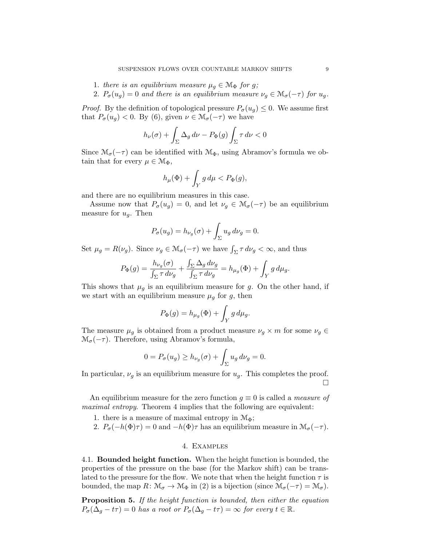- 1. *there is an equilibrium measure*  $\mu_g \in \mathcal{M}_{\Phi}$  *for g*;
- 2.  $P_{\sigma}(u_g) = 0$  *and there is an equilibrium measure*  $\nu_q \in M_{\sigma}(-\tau)$  *for*  $u_q$ *.*

*Proof.* By the definition of topological pressure  $P_{\sigma}(u_g) \leq 0$ . We assume first that  $P_{\sigma}(u_q) < 0$ . By (6), given  $\nu \in \mathcal{M}_{\sigma}(-\tau)$  we have

$$
h_{\nu}(\sigma)+\int_{\Sigma}\Delta_g\,d\nu-P_{\Phi}(g)\int_{\Sigma}\tau\,d\nu<0
$$

Since  $\mathcal{M}_{\sigma}(-\tau)$  can be identified with  $\mathcal{M}_{\Phi}$ , using Abramov's formula we obtain that for every  $\mu \in \mathcal{M}_{\Phi}$ ,

$$
h_\mu(\Phi)+\int_Y g\,d\mu
$$

and there are no equilibrium measures in this case.

Assume now that  $P_{\sigma}(u_g) = 0$ , and let  $\nu_g \in \mathcal{M}_{\sigma}(-\tau)$  be an equilibrium measure for *ug*. Then

$$
P_{\sigma}(u_g) = h_{\nu_g}(\sigma) + \int_{\Sigma} u_g \, d\nu_g = 0.
$$

Set  $\mu_g = R(\nu_g)$ . Since  $\nu_g \in M_\sigma(-\tau)$  we have  $\int_{\Sigma} \tau \, d\nu_g < \infty$ , and thus

$$
P_{\Phi}(g) = \frac{h_{\nu_g}(\sigma)}{\int_{\Sigma} \tau \, d\nu_g} + \frac{\int_{\Sigma} \Delta_g \, d\nu_g}{\int_{\Sigma} \tau \, d\nu_g} = h_{\mu_g}(\Phi) + \int_Y g \, d\mu_g.
$$

This shows that  $\mu_g$  is an equilibrium measure for  $g$ . On the other hand, if we start with an equilibrium measure  $\mu_g$  for  $g$ , then

$$
P_{\Phi}(g) = h_{\mu_g}(\Phi) + \int_Y g \, d\mu_g.
$$

The measure  $\mu_g$  is obtained from a product measure  $\nu_g \times m$  for some  $\nu_g \in$  $\mathcal{M}_{\sigma}(-\tau)$ . Therefore, using Abramov's formula,

$$
0 = P_{\sigma}(u_g) \ge h_{\nu_g}(\sigma) + \int_{\Sigma} u_g \, d\nu_g = 0.
$$

In particular,  $\nu_g$  is an equilibrium measure for  $u_g$ . This completes the proof.  $\Box$ 

An equilibrium measure for the zero function *g* ≡ 0 is called a *measure of maximal entropy*. Theorem 4 implies that the following are equivalent:

- 1. there is a measure of maximal entropy in  $M_{\Phi}$ ;
- 2.  $P_{\sigma}(-h(\Phi)\tau) = 0$  and  $-h(\Phi)\tau$  has an equilibrium measure in  $\mathcal{M}_{\sigma}(-\tau)$ .

### 4. Examples

4.1. Bounded height function. When the height function is bounded, the properties of the pressure on the base (for the Markov shift) can be translated to the pressure for the flow. We note that when the height function  $\tau$  is bounded, the map  $R: \mathcal{M}_{\sigma} \to \mathcal{M}_{\Phi}$  in (2) is a bijection (since  $\mathcal{M}_{\sigma}(-\tau) = \mathcal{M}_{\sigma}$ ).

Proposition 5. *If the height function is bounded, then either the equation*  $P_{\sigma}(\Delta_g - t\tau) = 0$  *has a root or*  $P_{\sigma}(\Delta_g - t\tau) = \infty$  *for every*  $t \in \mathbb{R}$ *.*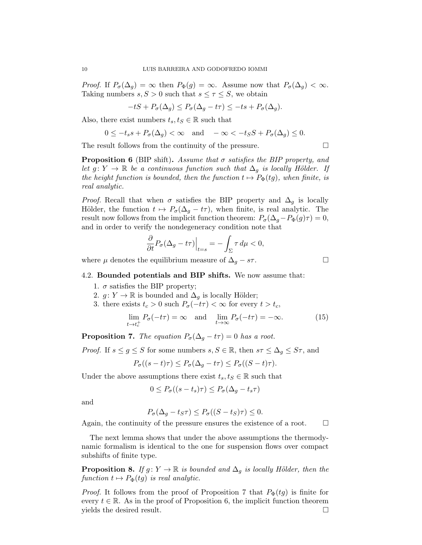*Proof.* If  $P_{\sigma}(\Delta_g) = \infty$  then  $P_{\Phi}(g) = \infty$ . Assume now that  $P_{\sigma}(\Delta_g) < \infty$ . Taking numbers  $s, S > 0$  such that  $s \leq \tau \leq S$ , we obtain

$$
-tS + P_{\sigma}(\Delta_g) \le P_{\sigma}(\Delta_g - t\tau) \le -ts + P_{\sigma}(\Delta_g).
$$

Also, there exist numbers  $t_s, t_s \in \mathbb{R}$  such that

$$
0 \le -t_s s + P_\sigma(\Delta_g) < \infty \quad \text{and} \quad -\infty < -t_S S + P_\sigma(\Delta_g) \le 0.
$$

The result follows from the continuity of the pressure.  $\Box$ 

Proposition 6 (BIP shift). *Assume that* σ *satisfies the BIP property, and let*  $g: Y \to \mathbb{R}$  *be a continuous function such that*  $\Delta_g$  *is locally Hölder. If the height function is bounded, then the function*  $t \mapsto P_{\Phi}(tg)$ *, when finite, is real analytic.*

*Proof.* Recall that when  $\sigma$  satisfies the BIP property and  $\Delta_q$  is locally Hölder, the function  $t \mapsto P_{\sigma}(\Delta_q - t\tau)$ , when finite, is real analytic. The result now follows from the implicit function theorem:  $P_{\sigma}(\Delta_g - P_{\Phi}(g)\tau) = 0$ , and in order to verify the nondegeneracy condition note that

$$
\frac{\partial}{\partial t}P_{\sigma}(\Delta_g - t\tau)\Big|_{t=s} = -\int_{\Sigma} \tau \, d\mu < 0,
$$

where  $\mu$  denotes the equilibrium measure of  $\Delta_g - s\tau$ .

### 4.2. Bounded potentials and BIP shifts. We now assume that:

- 1.  $\sigma$  satisfies the BIP property;
- 2.  $g: Y \to \mathbb{R}$  is bounded and  $\Delta_g$  is locally Hölder;
- 3. there exists  $t_c > 0$  such  $P_{\sigma}(-t\tau) < \infty$  for every  $t > t_c$ ,

$$
\lim_{t \to t_c^+} P_{\sigma}(-t\tau) = \infty \quad \text{and} \quad \lim_{t \to \infty} P_{\sigma}(-t\tau) = -\infty. \tag{15}
$$

**Proposition 7.** *The equation*  $P_{\sigma}(\Delta_g - t\tau) = 0$  *has a root.* 

*Proof.* If  $s \leq g \leq S$  for some numbers  $s, S \in \mathbb{R}$ , then  $s\tau \leq \Delta_g \leq S\tau$ , and

$$
P_{\sigma}((s-t)\tau) \le P_{\sigma}(\Delta_g - t\tau) \le P_{\sigma}((S-t)\tau).
$$

Under the above assumptions there exist  $t_s, t_s \in \mathbb{R}$  such that

$$
0 \le P_{\sigma}((s-t_s)\tau) \le P_{\sigma}(\Delta_g - t_s \tau)
$$

and

$$
P_{\sigma}(\Delta_g - t_S \tau) \le P_{\sigma}((S - t_S)\tau) \le 0.
$$

Again, the continuity of the pressure ensures the existence of a root.  $\Box$ 

The next lemma shows that under the above assumptions the thermodynamic formalism is identical to the one for suspension flows over compact subshifts of finite type.

**Proposition 8.** *If*  $g: Y \to \mathbb{R}$  *is bounded and*  $\Delta_q$  *is locally Hölder, then the*  $function t \mapsto P_{\Phi}(tq)$  *is real analytic.* 

*Proof.* It follows from the proof of Proposition 7 that  $P_{\Phi}(tg)$  is finite for every  $t \in \mathbb{R}$ . As in the proof of Proposition 6, the implicit function theorem yields the desired result. yields the desired result. !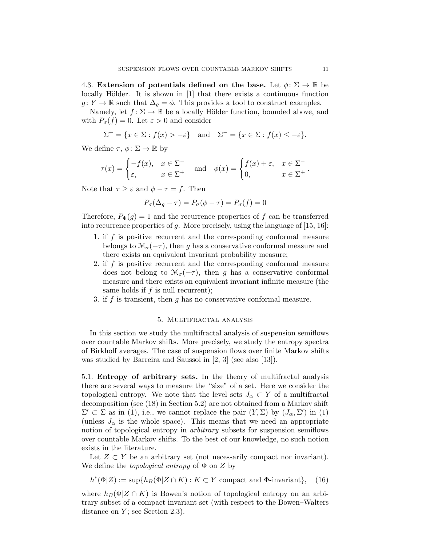4.3. Extension of potentials defined on the base. Let  $\phi \colon \Sigma \to \mathbb{R}$  be locally Hölder. It is shown in [1] that there exists a continuous function  $g: Y \to \mathbb{R}$  such that  $\Delta_g = \phi$ . This provides a tool to construct examples.

Namely, let  $f: \Sigma \to \mathbb{R}$  be a locally Hölder function, bounded above, and with  $P_{\sigma}(f) = 0$ . Let  $\varepsilon > 0$  and consider

$$
\Sigma^{+} = \{x \in \Sigma : f(x) > -\varepsilon\} \text{ and } \Sigma^{-} = \{x \in \Sigma : f(x) \le -\varepsilon\}.
$$

We define  $\tau, \phi \colon \Sigma \to \mathbb{R}$  by

$$
\tau(x) = \begin{cases}\n-f(x), & x \in \Sigma^- \\
\varepsilon, & x \in \Sigma^+ \n\end{cases} \text{ and } \phi(x) = \begin{cases}\nf(x) + \varepsilon, & x \in \Sigma^- \\
0, & x \in \Sigma^+ \n\end{cases}.
$$

Note that  $\tau \geq \varepsilon$  and  $\phi - \tau = f$ . Then

$$
P_{\sigma}(\Delta_g - \tau) = P_{\sigma}(\phi - \tau) = P_{\sigma}(f) = 0
$$

Therefore,  $P_{\Phi}(q) = 1$  and the recurrence properties of f can be transferred into recurrence properties of *g*. More precisely, using the language of [15, 16]:

- 1. if *f* is positive recurrent and the corresponding conformal measure belongs to  $\mathcal{M}_{\sigma}(-\tau)$ , then *g* has a conservative conformal measure and there exists an equivalent invariant probability measure;
- 2. if *f* is positive recurrent and the corresponding conformal measure does not belong to  $\mathcal{M}_{\sigma}(-\tau)$ , then *g* has a conservative conformal measure and there exists an equivalent invariant infinite measure (the same holds if *f* is null recurrent);
- 3. if *f* is transient, then *g* has no conservative conformal measure.

## 5. Multifractal analysis

In this section we study the multifractal analysis of suspension semiflows over countable Markov shifts. More precisely, we study the entropy spectra of Birkhoff averages. The case of suspension flows over finite Markov shifts was studied by Barreira and Saussol in [2, 3] (see also [13]).

5.1. Entropy of arbitrary sets. In the theory of multifractal analysis there are several ways to measure the "size" of a set. Here we consider the topological entropy. We note that the level sets  $J_{\alpha} \subset Y$  of a multifractal decomposition (see (18) in Section 5.2) are not obtained from a Markov shift  $\Sigma' \subset \Sigma$  as in (1), i.e., we cannot replace the pair  $(Y, \Sigma)$  by  $(J_\alpha, \Sigma')$  in (1) (unless  $J_{\alpha}$  is the whole space). This means that we need an appropriate notion of topological entropy in *arbitrary* subsets for suspension semiflows over countable Markov shifts. To the best of our knowledge, no such notion exists in the literature.

Let  $Z \subset Y$  be an arbitrary set (not necessarily compact nor invariant). We define the *topological entropy* of Φ on *Z* by

 $h^*(\Phi|Z) := \sup\{h_B(\Phi|Z \cap K) : K \subset Y \text{ compact and } \Phi\text{-invariant}\},$  (16)

where  $h_B(\Phi|Z \cap K)$  is Bowen's notion of topological entropy on an arbitrary subset of a compact invariant set (with respect to the Bowen–Walters distance on *Y*; see Section 2.3).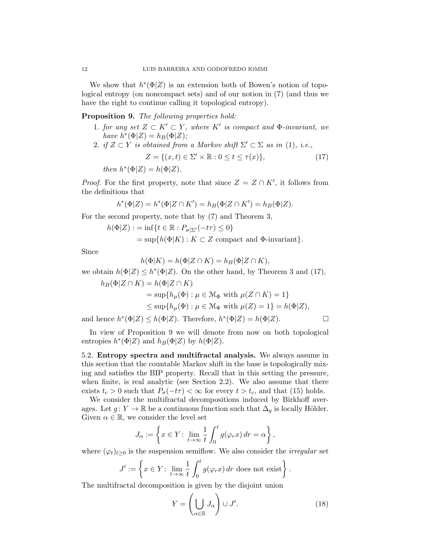We show that *h*∗(Φ*|Z*) is an extension both of Bowen's notion of topological entropy (on noncompact sets) and of our notion in (7) (and thus we have the right to continue calling it topological entropy).

Proposition 9. *The following properties hold:*

- 1. *for any set*  $Z \subset K' \subset Y$ *, where*  $K'$  *is compact and*  $\Phi$ *-invariant, we*  $h$ *ave*  $h^*(\Phi|Z) = h_B(\Phi|Z)$ ;
- 2. *if*  $Z \subset Y$  *is obtained from a Markov shift*  $\Sigma' \subset \Sigma$  *as in* (1), *i.e.*,

$$
Z = \{(x, t) \in \Sigma' \times \mathbb{R} : 0 \le t \le \tau(x)\},\tag{17}
$$

 $then h^*(\Phi|Z) = h(\Phi|Z).$ 

*Proof.* For the first property, note that since  $Z = Z \cap K'$ , it follows from the definitions that

$$
h^*(\Phi|Z) = h^*(\Phi|Z \cap K') = h_B(\Phi|Z \cap K') = h_B(\Phi|Z).
$$

For the second property, note that by (7) and Theorem 3,

$$
h(\Phi|Z) := \inf\{t \in \mathbb{R} : P_{\sigma|\Sigma'}(-t\tau) \le 0\}
$$
  
=  $\sup\{h(\Phi|K) : K \subset Z \text{ compact and } \Phi\text{-invariant}\}.$ 

Since

$$
h(\Phi|K) = h(\Phi|Z \cap K) = h_B(\Phi|Z \cap K),
$$

we obtain  $h(\Phi|Z) \leq h^*(\Phi|Z)$ . On the other hand, by Theorem 3 and (17),

$$
h_B(\Phi|Z \cap K) = h(\Phi|Z \cap K)
$$
  
= sup{ $h_\mu(\Phi) : \mu \in \mathcal{M}_\Phi$  with  $\mu(Z \cap K) = 1$ }  
 $\leq$  sup{ $h_\mu(\Phi) : \mu \in \mathcal{M}_\Phi$  with  $\mu(Z) = 1$ } =  $h(\Phi|Z)$ ,

and hence  $h^*(\Phi|Z) \leq h(\Phi|Z)$ . Therefore,  $h^*(\Phi|Z) = h(\Phi|Z)$ .

In view of Proposition 9 we will denote from now on both topological entropies  $h^*(\Phi|Z)$  and  $h_B(\Phi|Z)$  by  $h(\Phi|Z)$ .

5.2. Entropy spectra and multifractal analysis. We always assume in this section that the countable Markov shift in the base is topologically mixing and satisfies the BIP property. Recall that in this setting the pressure, when finite, is real analytic (see Section 2.2). We also assume that there exists  $t_c > 0$  such that  $P_{\sigma}(-t\tau) < \infty$  for every  $t > t_c$ , and that (15) holds.

We consider the multifractal decompositions induced by Birkhoff averages. Let  $g: Y \to \mathbb{R}$  be a continuous function such that  $\Delta_q$  is locally Hölder. Given  $\alpha \in \mathbb{R}$ , we consider the level set

$$
J_{\alpha} := \left\{ x \in Y \colon \lim_{t \to \infty} \frac{1}{t} \int_0^t g(\varphi_r x) dr = \alpha \right\},\
$$

where  $(\varphi_t)_{t>0}$  is the suspension semiflow. We also consider the *irregular* set

$$
J' := \left\{ x \in Y \colon \lim_{t \to \infty} \frac{1}{t} \int_0^t g(\varphi_r x) \, dr \text{ does not exist} \right\}.
$$

The multifractal decomposition is given by the disjoint union

$$
Y = \left(\bigcup_{\alpha \in \mathbb{R}} J_{\alpha}\right) \cup J'.\tag{18}
$$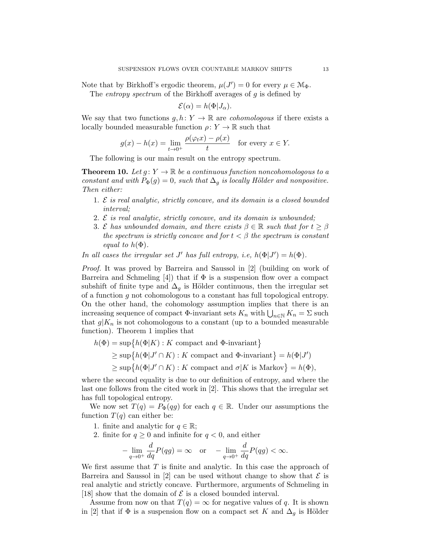Note that by Birkhoff's ergodic theorem,  $\mu(J') = 0$  for every  $\mu \in M_{\Phi}$ .

The *entropy spectrum* of the Birkhoff averages of *g* is defined by

$$
\mathcal{E}(\alpha) = h(\Phi|J_{\alpha}).
$$

We say that two functions  $g, h: Y \to \mathbb{R}$  are *cohomologous* if there exists a locally bounded measurable function  $\rho: Y \to \mathbb{R}$  such that

$$
g(x) - h(x) = \lim_{t \to 0^+} \frac{\rho(\varphi_t x) - \rho(x)}{t} \quad \text{for every } x \in Y.
$$

The following is our main result on the entropy spectrum.

**Theorem 10.** Let  $g: Y \to \mathbb{R}$  be a continuous function noncohomologous to a *constant and with*  $P_{\Phi}(g) = 0$ *, such that*  $\Delta_g$  *is locally Hölder and nonpositive. Then either:*

- 1. *E is real analytic, strictly concave, and its domain is a closed bounded interval;*
- 2. *E is real analytic, strictly concave, and its domain is unbounded;*
- 3. *E* has unbounded domain, and there exists  $\beta \in \mathbb{R}$  such that for  $t > \beta$ *the spectrum is strictly concave and for*  $t < \beta$  *the spectrum is constant equal to*  $h(\Phi)$ *.*

*In all cases the irregular set J' has full entropy, i.e,*  $h(\Phi|J') = h(\Phi)$ *.* 

*Proof.* It was proved by Barreira and Saussol in [2] (building on work of Barreira and Schmeling [4]) that if  $\Phi$  is a suspension flow over a compact subshift of finite type and  $\Delta_q$  is Hölder continuous, then the irregular set of a function *g* not cohomologous to a constant has full topological entropy. On the other hand, the cohomology assumption implies that there is an increasing sequence of compact  $\Phi$ -invariant sets  $K_n$  with  $\bigcup_{n\in\mathbb{N}} K_n = \Sigma$  such that  $g|K_n$  is not cohomologous to a constant (up to a bounded measurable function). Theorem 1 implies that

 $h(\Phi) = \sup \{ h(\Phi|K) : K \text{ compact and } \Phi\text{-invariant} \}$  $\geq$  sup $\{h(\Phi | J' \cap K) : K \text{ compact and } \Phi\text{-invariant}\} = h(\Phi | J')$  $\geq$  sup $\{h(\Phi | J' \cap K) : K \text{ compact and } \sigma | K \text{ is Markov}\}=h(\Phi),$ 

where the second equality is due to our definition of entropy, and where the last one follows from the cited work in [2]. This shows that the irregular set has full topological entropy.

We now set  $T(q) = P_{\Phi}(qg)$  for each  $q \in \mathbb{R}$ . Under our assumptions the function  $T(q)$  can either be:

- 1. finite and analytic for  $q \in \mathbb{R}$ ;
- 2. finite for  $q \geq 0$  and infinite for  $q < 0$ , and either

$$
-\lim_{q \to 0^+} \frac{d}{dq} P(qg) = \infty \quad \text{or} \quad -\lim_{q \to 0^+} \frac{d}{dq} P(qg) < \infty.
$$

We first assume that *T* is finite and analytic. In this case the approach of Barreira and Saussol in  $[2]$  can be used without change to show that  $\mathcal E$  is real analytic and strictly concave. Furthermore, arguments of Schmeling in [18] show that the domain of  $\mathcal E$  is a closed bounded interval.

Assume from now on that  $T(q) = \infty$  for negative values of q. It is shown in [2] that if  $\Phi$  is a suspension flow on a compact set *K* and  $\Delta_q$  is Hölder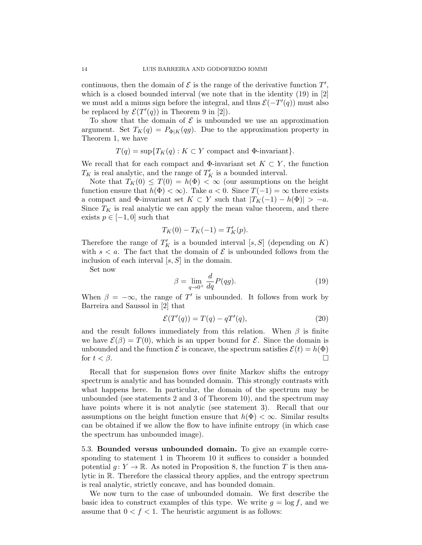continuous, then the domain of  $\mathcal E$  is the range of the derivative function  $T'$ , which is a closed bounded interval (we note that in the identity (19) in [2] we must add a minus sign before the integral, and thus  $\mathcal{E}(-T'(q))$  must also be replaced by  $\mathcal{E}(T'(q))$  in Theorem 9 in [2]).

To show that the domain of  $\mathcal E$  is unbounded we use an approximation argument. Set  $T_K(q) = P_{\Phi|K}(qg)$ . Due to the approximation property in Theorem 1, we have

$$
T(q) = \sup \{ T_K(q) : K \subset Y \text{ compact and } \Phi\text{-invariant} \}.
$$

We recall that for each compact and  $\Phi$ -invariant set  $K \subset Y$ , the function  $T_K$  is real analytic, and the range of  $T'_K$  is a bounded interval.

Note that  $T_K(0) \leq T(0) = h(\Phi) < \infty$  (our assumptions on the height function ensure that  $h(\Phi) < \infty$ ). Take  $a < 0$ . Since  $T(-1) = \infty$  there exists a compact and  $\Phi$ -invariant set  $K \subset Y$  such that  $|T_K(-1) - h(\Phi)| > -a$ . Since  $T_K$  is real analytic we can apply the mean value theorem, and there exists  $p \in [-1, 0]$  such that

$$
T_K(0) - T_K(-1) = T'_K(p).
$$

Therefore the range of  $T_K'$  is a bounded interval  $[s, S]$  (depending on  $K$ ) with  $s < a$ . The fact that the domain of  $\mathcal E$  is unbounded follows from the inclusion of each interval [*s, S*] in the domain.

Set now

$$
\beta = \lim_{q \to 0^+} \frac{d}{dq} P(qg). \tag{19}
$$

When  $\beta = -\infty$ , the range of *T'* is unbounded. It follows from work by Barreira and Saussol in [2] that

$$
\mathcal{E}(T'(q)) = T(q) - qT'(q),\tag{20}
$$

and the result follows immediately from this relation. When  $\beta$  is finite we have  $\mathcal{E}(\beta) = T(0)$ , which is an upper bound for *E*. Since the domain is unbounded and the function  $\mathcal E$  is concave, the spectrum satisfies  $\mathcal E(t) = h(\Phi)$ for  $t < \beta$ .

Recall that for suspension flows over finite Markov shifts the entropy spectrum is analytic and has bounded domain. This strongly contrasts with what happens here. In particular, the domain of the spectrum may be unbounded (see statements 2 and 3 of Theorem 10), and the spectrum may have points where it is not analytic (see statement 3). Recall that our assumptions on the height function ensure that  $h(\Phi) < \infty$ . Similar results can be obtained if we allow the flow to have infinite entropy (in which case the spectrum has unbounded image).

5.3. Bounded versus unbounded domain. To give an example corresponding to statement 1 in Theorem 10 it suffices to consider a bounded potential  $g: Y \to \mathbb{R}$ . As noted in Proposition 8, the function *T* is then analytic in R. Therefore the classical theory applies, and the entropy spectrum is real analytic, strictly concave, and has bounded domain.

We now turn to the case of unbounded domain. We first describe the basic idea to construct examples of this type. We write  $q = \log f$ , and we assume that  $0 < f < 1$ . The heuristic argument is as follows: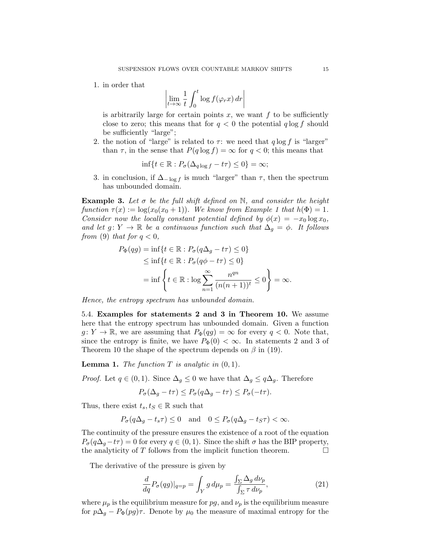1. in order that

$$
\left| \lim_{t \to \infty} \frac{1}{t} \int_0^t \log f(\varphi_r x) \, dr \right|
$$

is arbitrarily large for certain points  $x$ , we want  $f$  to be sufficiently close to zero; this means that for  $q < 0$  the potential  $q \log f$  should be sufficiently "large";

2. the notion of "large" is related to  $\tau$ : we need that  $q \log f$  is "larger" than  $\tau$ , in the sense that  $P(q \log f) = \infty$  for  $q < 0$ ; this means that

$$
\inf\{t \in \mathbb{R} : P_{\sigma}(\Delta_{q \log f} - t\tau) \le 0\} = \infty;
$$

3. in conclusion, if  $\Delta$ <sub>-log f</sub> is much "larger" than  $\tau$ , then the spectrum has unbounded domain.

Example 3. *Let* σ *be the full shift defined on* N*, and consider the height function*  $\tau(x) := \log(x_0(x_0+1))$ *. We know from Example 1 that*  $h(\Phi) = 1$ *. Consider now the locally constant potential defined by*  $\phi(x) = -x_0 \log x_0$ , *and let*  $g: Y \to \mathbb{R}$  *be a continuous function such that*  $\Delta_g = \phi$ . It follows *from* (9) *that for*  $q < 0$ *,* 

$$
P_{\Phi}(qg) = \inf\{t \in \mathbb{R} : P_{\sigma}(q\Delta_g - t\tau) \le 0\}
$$
  
\n
$$
\le \inf\{t \in \mathbb{R} : P_{\sigma}(q\phi - t\tau) \le 0\}
$$
  
\n
$$
= \inf\left\{t \in \mathbb{R} : \log \sum_{n=1}^{\infty} \frac{n^{qn}}{(n(n+1))^{t}} \le 0\right\} = \infty.
$$

*Hence, the entropy spectrum has unbounded domain.*

5.4. Examples for statements 2 and 3 in Theorem 10. We assume here that the entropy spectrum has unbounded domain. Given a function  $g: Y \to \mathbb{R}$ , we are assuming that  $P_{\Phi}(qg) = \infty$  for every  $q < 0$ . Note that, since the entropy is finite, we have  $P_{\Phi}(0) < \infty$ . In statements 2 and 3 of Theorem 10 the shape of the spectrum depends on  $\beta$  in (19).

**Lemma 1.** *The function*  $T$  *is analytic in*  $(0, 1)$ *.* 

*Proof.* Let  $q \in (0,1)$ . Since  $\Delta_q \leq 0$  we have that  $\Delta_q \leq q\Delta_q$ . Therefore

$$
P_{\sigma}(\Delta_g - t\tau) \le P_{\sigma}(q\Delta_g - t\tau) \le P_{\sigma}(-t\tau).
$$

Thus, there exist  $t_s, t_s \in \mathbb{R}$  such that

$$
P_{\sigma}(q\Delta_g - t_s\tau) \le 0
$$
 and  $0 \le P_{\sigma}(q\Delta_g - t_S\tau) < \infty$ .

The continuity of the pressure ensures the existence of a root of the equation  $P_{\sigma}(q\Delta_g - t\tau) = 0$  for every  $q \in (0, 1)$ . Since the shift  $\sigma$  has the BIP property, the analyticity of *T* follows from the implicit function theorem. the analyticity of  $T$  follows from the implicit function theorem.

The derivative of the pressure is given by

$$
\frac{d}{dq}P_{\sigma}(qg)|_{q=p} = \int_{Y} g d\mu_{p} = \frac{\int_{\Sigma} \Delta_{g} d\nu_{p}}{\int_{\Sigma} \tau d\nu_{p}},\tag{21}
$$

where  $\mu_p$  is the equilibrium measure for pg, and  $\nu_p$  is the equilibrium measure for  $p\Delta_q - P_{\Phi}(pg)\tau$ . Denote by  $\mu_0$  the measure of maximal entropy for the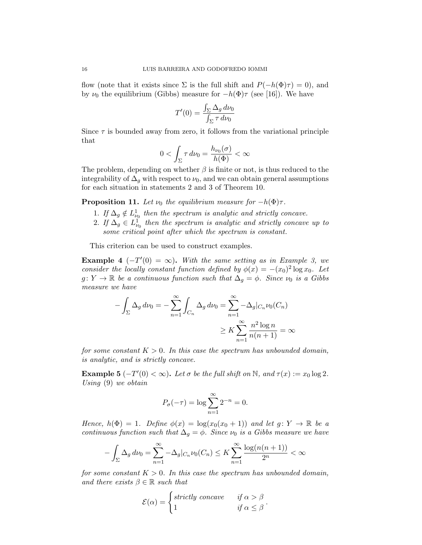flow (note that it exists since  $\Sigma$  is the full shift and  $P(-h(\Phi)\tau) = 0$ ), and by  $\nu_0$  the equilibrium (Gibbs) measure for  $-h(\Phi)\tau$  (see [16]). We have

$$
T'(0) = \frac{\int_{\Sigma} \Delta_g \, d\nu_0}{\int_{\Sigma} \tau \, d\nu_0}
$$

Since  $\tau$  is bounded away from zero, it follows from the variational principle that

$$
0 < \int_{\Sigma} \tau \, d\nu_0 = \frac{h_{\nu_0}(\sigma)}{h(\Phi)} < \infty
$$

The problem, depending on whether  $\beta$  is finite or not, is thus reduced to the integrability of  $\Delta_q$  with respect to  $\nu_0$ , and we can obtain general assumptions for each situation in statements 2 and 3 of Theorem 10.

**Proposition 11.** Let  $\nu_0$  the equilibrium measure for  $-h(\Phi)\tau$ .

- 1. If  $\Delta_g \notin L^1_{\nu_0}$  then the spectrum is analytic and strictly concave.
- 2. If  $\Delta_g \in L^1_{\nu_0}$  then the spectrum is analytic and strictly concave up to *some critical point after which the spectrum is constant.*

This criterion can be used to construct examples.

**Example 4**  $(-T'(0) = \infty)$ . *With the same setting as in Example 3, we consider the locally constant function defined by*  $\phi(x) = -(x_0)^2 \log x_0$ . Let  $g: Y \to \mathbb{R}$  *be a continuous function such that*  $\Delta_q = \phi$ *. Since*  $\nu_0$  *is a Gibbs measure we have*

$$
-\int_{\Sigma} \Delta_g \, d\nu_0 = -\sum_{n=1}^{\infty} \int_{C_n} \Delta_g \, d\nu_0 = \sum_{n=1}^{\infty} -\Delta_g |_{C_n} \nu_0(C_n)
$$

$$
\geq K \sum_{n=1}^{\infty} \frac{n^2 \log n}{n(n+1)} = \infty
$$

*for some constant*  $K > 0$ . In this case the spectrum has unbounded domain, *is analytic, and is strictly concave.*

Example  $5(-T'(0) < \infty)$ . Let  $\sigma$  be the full shift on  $\mathbb{N}$ , and  $\tau(x) := x_0 \log 2$ . *Using* (9) *we obtain*

$$
P_{\sigma}(-\tau) = \log \sum_{n=1}^{\infty} 2^{-n} = 0.
$$

*Hence,*  $h(\Phi) = 1$ *. Define*  $\phi(x) = \log(x_0(x_0 + 1))$  *and let*  $g: Y \to \mathbb{R}$  *be a continuous function such that*  $\Delta_g = \phi$ *. Since*  $\nu_0$  *is a Gibbs measure we have* 

$$
-\int_{\Sigma} \Delta_g \, d\nu_0 = \sum_{n=1}^{\infty} -\Delta_g \big|_{C_n} \nu_0(C_n) \le K \sum_{n=1}^{\infty} \frac{\log(n(n+1))}{2^n} < \infty
$$

*for some constant*  $K > 0$ *. In this case the spectrum has unbounded domain, and there exists*  $\beta \in \mathbb{R}$  *such that* 

$$
\mathcal{E}(\alpha) = \begin{cases} \text{strictly concave} & \text{if } \alpha > \beta \\ 1 & \text{if } \alpha \leq \beta \end{cases}.
$$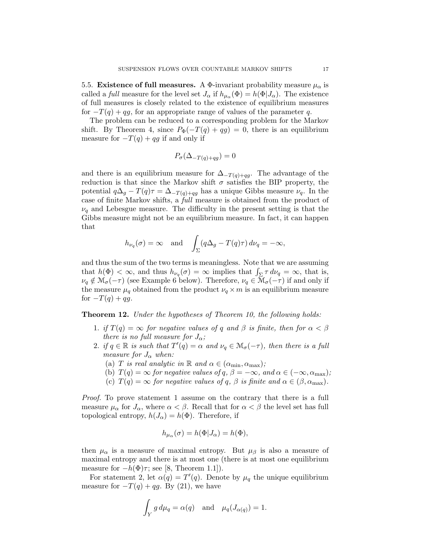5.5. **Existence of full measures.** A  $\Phi$ -invariant probability measure  $\mu_{\alpha}$  is called a *full* measure for the level set  $J_{\alpha}$  if  $h_{\mu_{\alpha}}(\Phi) = h(\Phi|J_{\alpha})$ . The existence of full measures is closely related to the existence of equilibrium measures for  $-T(q) + qg$ , for an appropriate range of values of the parameter q.

The problem can be reduced to a corresponding problem for the Markov shift. By Theorem 4, since  $P_{\Phi}(-T(q) + qg) = 0$ , there is an equilibrium measure for  $-T(q) + qg$  if and only if

$$
P_{\sigma}(\Delta_{-T(q)+qg}) = 0
$$

and there is an equilibrium measure for  $\Delta_{-T(q)+qq}$ . The advantage of the reduction is that since the Markov shift  $\sigma$  satisfies the BIP property, the potential  $q\Delta_q - T(q)\tau = \Delta_{-T(q)+qg}$  has a unique Gibbs measure  $\nu_q$ . In the case of finite Markov shifts, a *full* measure is obtained from the product of  $\nu_q$  and Lebesgue measure. The difficulty in the present setting is that the Gibbs measure might not be an equilibrium measure. In fact, it can happen that

$$
h_{\nu_q}(\sigma) = \infty
$$
 and  $\int_{\Sigma} (q\Delta_g - T(q)\tau) d\nu_q = -\infty$ ,

and thus the sum of the two terms is meaningless. Note that we are assuming that  $h(\Phi) < \infty$ , and thus  $h_{\nu_q}(\sigma) = \infty$  implies that  $\int_{\Sigma} \tau \, d\nu_q = \infty$ , that is,  $\nu_q \notin \mathcal{M}_{\sigma}(-\tau)$  (see Example 6 below). Therefore,  $\nu_q \in \mathcal{M}_{\sigma}(-\tau)$  if and only if the measure  $\mu_q$  obtained from the product  $\nu_q \times m$  is an equilibrium measure for  $-T(q) + qg$ .

Theorem 12. *Under the hypotheses of Theorem 10, the following holds:*

- 1. *if*  $T(q) = \infty$  *for negative values of q and*  $\beta$  *is finite, then for*  $\alpha < \beta$ *there is no full measure for*  $J_{\alpha}$ ;
- 2. *if*  $q \in \mathbb{R}$  *is such that*  $T'(q) = \alpha$  *and*  $\nu_q \in \mathcal{M}_\sigma(-\tau)$ *, then there is a full measure for*  $J_{\alpha}$  *when:* 
	- (a) *T is real analytic in*  $\mathbb{R}$  *and*  $\alpha \in (\alpha_{\min}, \alpha_{\max})$ ;
	- (b)  $T(q) = \infty$  *for negative values of q*,  $\beta = -\infty$ *, and*  $\alpha \in (-\infty, \alpha_{\text{max}})$ *;*
	- (c)  $T(q) = \infty$  *for negative values of q,*  $\beta$  *is finite and*  $\alpha \in (\beta, \alpha_{\text{max}})$ *.*

*Proof.* To prove statement 1 assume on the contrary that there is a full measure  $\mu_{\alpha}$  for  $J_{\alpha}$ , where  $\alpha < \beta$ . Recall that for  $\alpha < \beta$  the level set has full topological entropy,  $h(J_\alpha) = h(\Phi)$ . Therefore, if

$$
h_{\mu_{\alpha}}(\sigma) = h(\Phi|J_{\alpha}) = h(\Phi),
$$

then  $\mu_{\alpha}$  is a measure of maximal entropy. But  $\mu_{\beta}$  is also a measure of maximal entropy and there is at most one (there is at most one equilibrium measure for  $-h(\Phi)\tau$ ; see [8, Theorem 1.1]).

For statement 2, let  $\alpha(q) = T'(q)$ . Denote by  $\mu_q$  the unique equilibrium measure for  $-T(q) + qg$ . By (21), we have

$$
\int_Y g \, d\mu_q = \alpha(q) \quad \text{and} \quad \mu_q(J_{\alpha(q)}) = 1.
$$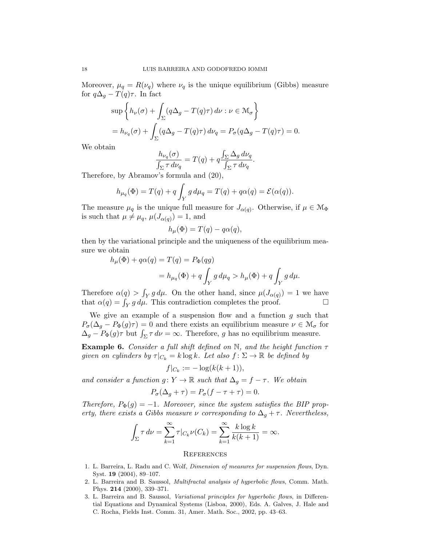Moreover,  $\mu_q = R(\nu_q)$  where  $\nu_q$  is the unique equilibrium (Gibbs) measure for  $q\Delta_q - T(q)\tau$ . In fact

$$
\sup \left\{ h_{\nu}(\sigma) + \int_{\Sigma} (q\Delta_g - T(q)\tau) \, d\nu : \nu \in \mathcal{M}_{\sigma} \right\}
$$
  
=  $h_{\nu_q}(\sigma) + \int_{\Sigma} (q\Delta_g - T(q)\tau) \, d\nu_q = P_{\sigma}(q\Delta_g - T(q)\tau) = 0.$ 

We obtain

$$
\frac{h_{\nu_q}(\sigma)}{\int_{\Sigma} \tau \, d\nu_q} = T(q) + q \frac{\int_{\Sigma} \Delta_g \, d\nu_q}{\int_{\Sigma} \tau \, d\nu_q}.
$$

Therefore, by Abramov's formula and (20),

$$
h_{\mu_q}(\Phi) = T(q) + q \int_Y g d\mu_q = T(q) + q\alpha(q) = \mathcal{E}(\alpha(q)).
$$

The measure  $\mu_q$  is the unique full measure for  $J_{\alpha(q)}$ . Otherwise, if  $\mu \in \mathcal{M}_{\Phi}$ is such that  $\mu \neq \mu_q$ ,  $\mu(J_{\alpha(q)}) = 1$ , and

$$
h_{\mu}(\Phi) = T(q) - q\alpha(q),
$$

then by the variational principle and the uniqueness of the equilibrium measure we obtain

$$
h_{\mu}(\Phi) + q\alpha(q) = T(q) = P_{\Phi}(qg)
$$
  
= 
$$
h_{\mu_q}(\Phi) + q \int_Y g d\mu_q > h_{\mu}(\Phi) + q \int_Y g d\mu.
$$

Therefore  $\alpha(q) > \int_Y g d\mu$ . On the other hand, since  $\mu(J_{\alpha(q)}) = 1$  we have that  $\alpha(q) = \int_Y g \, d\mu$ . This contradiction completes the proof.

We give an example of a suspension flow and a function *g* such that  $P_{\sigma}(\Delta_q - P_{\Phi}(q)\tau) = 0$  and there exists an equilibrium measure  $\nu \in \mathcal{M}_{\sigma}$  for  $\Delta_g - P_{\Phi}(g) \tau$  but  $\int_{\Sigma} \tau d\nu = \infty$ . Therefore, *g* has no equilibrium measure.

Example 6. *Consider a full shift defined on* N*, and the height function* τ *given on cylinders by*  $\tau|_{C_k} = k \log k$ *. Let also*  $f: \Sigma \to \mathbb{R}$  *be defined by* 

$$
f|_{C_k} := -\log(k(k+1)),
$$

*and consider a function*  $g: Y \to \mathbb{R}$  *such that*  $\Delta_q = f - \tau$ *. We obtain* 

$$
P_{\sigma}(\Delta_g + \tau) = P_{\sigma}(f - \tau + \tau) = 0.
$$

*Therefore,*  $P_{\Phi}(g) = -1$ . Moreover, since the system satisfies the BIP prop*erty, there exists a Gibbs measure*  $\nu$  *corresponding to*  $\Delta_g + \tau$ *. Nevertheless,* 

$$
\int_{\Sigma} \tau \, d\nu = \sum_{k=1}^{\infty} \tau |_{C_k} \nu(C_k) = \sum_{k=1}^{\infty} \frac{k \log k}{k(k+1)} = \infty.
$$

#### **REFERENCES**

- 1. L. Barreira, L. Radu and C. Wolf, *Dimension of measures for suspension flows*, Dyn. Syst. 19 (2004), 89–107.
- 2. L. Barreira and B. Saussol, *Multifractal analysis of hyperbolic flows*, Comm. Math. Phys. 214 (2000), 339–371.
- 3. L. Barreira and B. Saussol, *Variational principles for hyperbolic flows*, in Differential Equations and Dynamical Systems (Lisboa, 2000), Eds. A. Galves, J. Hale and C. Rocha, Fields Inst. Comm. 31, Amer. Math. Soc., 2002, pp. 43–63.